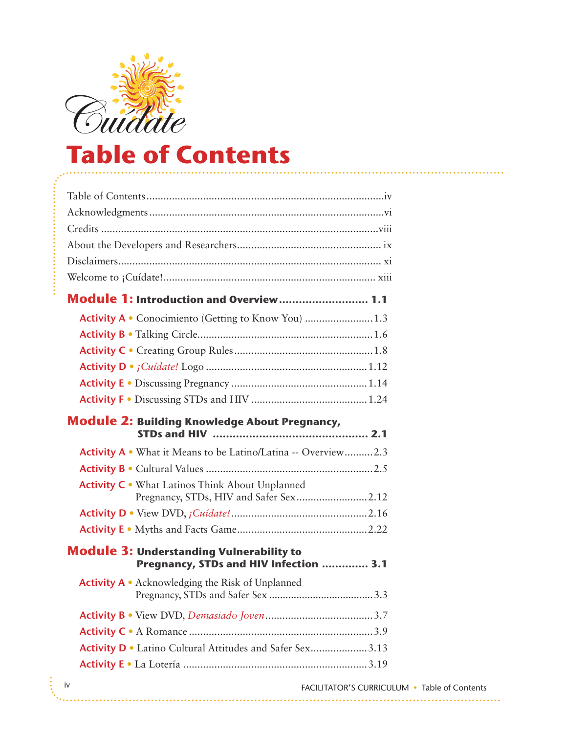

## **Table of Contents**

| Module 1: Introduction and Overview 1.1                                                          |  |
|--------------------------------------------------------------------------------------------------|--|
|                                                                                                  |  |
|                                                                                                  |  |
|                                                                                                  |  |
|                                                                                                  |  |
|                                                                                                  |  |
|                                                                                                  |  |
| <b>Module 2: Building Knowledge About Pregnancy,</b>                                             |  |
| Activity A . What it Means to be Latino/Latina -- Overview2.3                                    |  |
|                                                                                                  |  |
| <b>Activity C</b> • What Latinos Think About Unplanned<br>Pregnancy, STDs, HIV and Safer Sex2.12 |  |
|                                                                                                  |  |
|                                                                                                  |  |
| <b>Module 3: Understanding Vulnerability to</b><br>Pregnancy, STDs and HIV Infection  3.1        |  |
| Activity A • Acknowledging the Risk of Unplanned                                                 |  |
|                                                                                                  |  |
|                                                                                                  |  |
| Activity D . Latino Cultural Attitudes and Safer Sex3.13                                         |  |
|                                                                                                  |  |
| $\mathbf{i} \cdot$                                                                               |  |